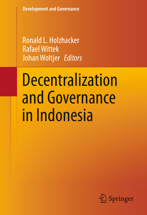<span id="page-0-0"></span>**Development and Governance**

Ronald L. Holzhacker Rafael Wittek Johan Woltjer *Editors*

# Decentralization and Governance in Indonesia

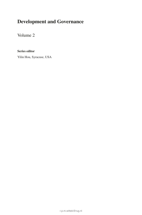# **Development and Governance**

Volume 2

#### **Series editor**

Yilin Hou, Syracuse, USA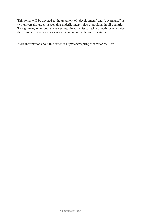This series will be devoted to the treatment of "development" and "governance" as two universally urgent issues that underlie many related problems in all countries. Though many other books, even series, already exist to tackle directly or otherwise these issues, this series stands out as a unique set with unique features.

More information about this series at<http://www.springer.com/series/13392>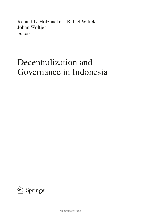Ronald L. Holzhacker · Rafael Wittek Johan Woltjer Editors

# Decentralization and Governance in Indonesia



r.p.m.wittek@rug.nl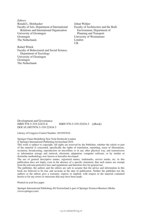*Editors* Ronald L. Holzhacker Faculty of Arts, Department of International Relations and International Organization University of Groningen Groningen The Netherlands

Rafael Wittek Faculty of Behavioural and Social Science, Department of Sociology University of Groningen Groningen The Netherlands

Johan Woltier Faculty of Architecture and the Built Environment, Department of Planning and Transport University of Westminster London UK

Development and Governance ISBN 978-3-319-22433-6 ISBN 978-3-319-22434-3 (eBook) DOI 10.1007/978-3-319-22434-3

Library of Congress Control Number: 2015947810

Springer Cham Heidelberg New York Dordrecht London © Springer International Publishing Switzerland 2016

This work is subject to copyright. All rights are reserved by the Publisher, whether the whole or part of the material is concerned, specifically the rights of translation, reprinting, reuse of illustrations, recitation, broadcasting, reproduction on microfilms or in any other physical way, and transmission or information storage and retrieval, electronic adaptation, computer software, or by similar or dissimilar methodology now known or hereafter developed.

The use of general descriptive names, registered names, trademarks, service marks, etc. in this publication does not imply, even in the absence of a specific statement, that such names are exempt from the relevant protective laws and regulations and therefore free for general use.

The publisher, the authors and the editors are safe to assume that the advice and information in this book are believed to be true and accurate at the date of publication. Neither the publisher nor the authors or the editors give a warranty, express or implied, with respect to the material contained herein or for any errors or omissions that may have been made.

Printed on acid-free paper

Springer International Publishing AG Switzerland is part of Springer Science+Business Media (www.springer.com)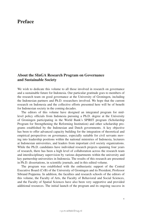### **Preface**

#### **About the SInGA Research Program on Governance and Sustainable Society**

We wish to dedicate this volume to all those involved in research on governance and a sustainable future for Indonesia. Our particular gratitude goes to members of the research team on good governance at the University of Groningen, including the Indonesian partners and Ph.D. researchers involved. We hope that the current research on Indonesia and the collective efforts presented here will be of benefit for Indonesian society in the coming decades.

The editors of this volume have designed an integrated program for midlevel policy officials from Indonesia pursuing a Ph.D. degree at the University of Groningen participating in the World Bank's SPIRIT program (Scholarship Program for Strengthening the Reforming Institution) and other scholarship programs established by the Indonesian and Dutch governments. A key objective has been to offer advanced capacity building for the integration of theoretical and empirical perspectives on governance, especially suitable for civil servants moving into leadership positions within the national ministries of Indonesia, lecturers at Indonesian universities, and leaders from important civil society organizations. While the Ph.D. candidates have individual research projects spanning four years of research, there has been a high level of collaboration across the research team and interdisciplinary supervision by various departments within the university and key partnership universities in Indonesia. The results of this research are presented in Ph.D. dissertations, in scientific journals, and in this edited volume.

The program was established with the enthusiastic support of the Central Executive Board (CvB) of the University of Groningen and its President, Professor Sibrand Poppema. In addition, the faculties and research schools of the editors of this volume, the Faculty of Arts, the Faculty of Behavioral and Social Sciences, and the Faculty of Spatial Sciences have also been very supportive and provided additional resources. The initial launch of the program and its ongoing success in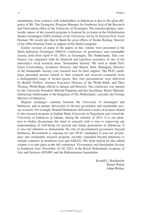maintaining close contacts with stakeholders in Indonesia is due to the great diligence of Mr. Tim Zwaagstra, Program Manager for Southeast Asia of the Research and Valorisation office of the University of Groningen. The interdisciplinary, interfaculty nature of the research program is fostered by its home in the Globalisation Studies Groningen (GSG) institute of the University, led by its Director Prof. Joost Herman. We would also like to thank the great efforts of Tienke Koning, Director of the Ubbo Emmius Fund, in support of the SInGA program.

Earlier versions of many of the papers in this volume were presented at the Spirit Indonesia Groningen (SInGA) conference on governance and sustainable society, held from April 9–10, 2014, in Groningen, The Netherlands. This conference was organized with the financial and logistical assistance of one of the university's focal research areas 'Sustainable Society.' We wish to thank Prof. Oscar Couwenberg, Academic Director, and Sharon Smit, Managing Director, of the Sustainable Society core research area for their support. The Ph.D. candidates presented articles related to their research and received comments from a distinguished range of invited guests. Key note presentations were delivered by Rudolf Treffers, (former) Executive Director of the World Bank, and Theo Thomas, World Bank official in Jakarta and Brussels. The conference was opened by the University President Sibrand Poppema and her Excellency Retno Marsudi, Indonesian Ambassador to the Kingdom of The Netherlands, currently the Foreign Minister of Indonesia.

Regular exchanges continue between the University of Groningen and Indonesia, and at partner universities to discuss governance and sustainable society research. For example, Ronald Holzhacker delivered a series of lectures related to this research program at Gadjah Mada University in Yogyakarta and visited the University of Indonesia in Jakarta, during the summer of 2014. It is our intention to further disseminate this kind of research with a view to improving our understanding of well-being for present and future generations in Indonesia. It is also our intention to demonstrate the role of decentralized governance beyond Indonesia. Recruitment is ongoing for new Ph.D. candidates to join our governance and sustainable research program, recently expanded beyond Indonesia to include countries in Southeast Asia and ASEAN. The book launch for this edited volume is to take place at the fall conference 'Governance and Sustainable Society in Southeast Asia' November 18–20, 2015, at the Royal Netherlands Academy of Arts and Sciences (KNAW) and the Rijksmuseum Amsterdam.

> Ronald L. Holzhacker Rafael Wittek Johan Woltjer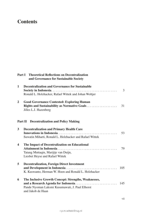# **Contents**

|                         | <b>Part I</b> Theoretical Reflections on Decentralization<br>and Governance for Sustainable Society                               |    |
|-------------------------|-----------------------------------------------------------------------------------------------------------------------------------|----|
| 1                       | <b>Decentralization and Governance for Sustainable</b><br>Ronald L. Holzhacker, Rafael Wittek and Johan Woltjer                   | 3  |
| $\overline{2}$          | <b>Good Governance Contested: Exploring Human</b><br><b>Rights and Sustainability as Normative Goals</b><br>Jilles L.J. Hazenberg | 31 |
|                         | Part II Decentralization and Policy Making                                                                                        |    |
| $\mathbf{3}$            | <b>Decentralization and Primary Health Care</b><br>Suwatin Miharti, Ronald L. Holzhacker and Rafael Wittek                        | 53 |
| $\overline{\mathbf{4}}$ | The Impact of Decentralization on Educational<br>Tatang Muttaqin, Marijtje van Duijn,<br>Liesbet Heyse and Rafael Wittek          | 79 |
| 5                       | <b>Decentralization, Foreign Direct Investment</b><br>K. Kuswanto, Herman W. Hoen and Ronald L. Holzhacker                        |    |
| 6                       | The Inclusive Growth Concept: Strengths, Weaknesses,<br>Pande Nyoman Laksmi Kusumawati, J. Paul Elhorst<br>and Jakob de Haan      |    |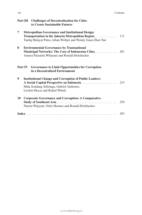|    | <b>Part III</b> Challenges of Decentralization for Cities<br>to Create Sustainable Futures                                                                                        |     |
|----|-----------------------------------------------------------------------------------------------------------------------------------------------------------------------------------|-----|
| 7  | <b>Metropolitan Governance and Institutional Design:</b><br>Transportation in the Jakarta Metropolitan Region  171<br>Taufiq Hidayat Putra, Johan Woltjer and Wendy Guan Zhen Tan |     |
| 8  | <b>Environmental Governance by Transnational</b><br>Municipal Networks: The Case of Indonesian Cities. 201<br>Annisa Paramita Wiharani and Ronald Holzhacker                      |     |
|    | Part IV Governance to Limit Opportunities for Corruption<br>in a Decentralized Environment                                                                                        |     |
| 9  | <b>Institutional Change and Corruption of Public Leaders:</b><br>Mala Sondang Silitonga, Gabriel Anthonio,<br>Liesbet Heyse and Rafael Wittek                                     | 233 |
| 10 | <b>Corporate Governance and Corruption: A Comparative</b><br>Nureni Wijayati, Niels Hermes and Ronald Holzhacker                                                                  |     |
|    |                                                                                                                                                                                   |     |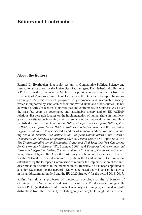## **Editors and Contributors**

#### **About the Editors**

**Ronald L. Holzhacker** is a senior lecturer in Comparative Political Science and International Relations at the University of Groningen, The Netherlands. He holds a Ph.D. from the University of Michigan in political science and a JD from the University of Minnesota Law School. He serves as the Director of the Spirit Indonesia Groningen (SInGA) research program on governance and sustainable society, which is supported by scholarships from the World Bank and other sources. He has delivered a series of lectures at universities and conferences in Southeast Asia over the past few years on governance and sustainable society and on EU–ASEAN relations. His research focuses on the implementation of human rights in multilevel governance situations involving civil society, states, and regional institutions. He is published in journals such as *Law & Policy*, *Comparative European Politics*, *Party Politics, European Union Politics, Nations and Nationalism*, and the *Journal of Legislative Studies.* He also served as editor of numerous edited volumes, including *Freedom, Security, and Justice in the European Union: Internal and External Dimensions of Increased Cooperation after the Lisbon Treaty*, (NY: Springer 2014), *The Transnationalization of Economies, States, and Civil Societies: New Challenges for Governance in Europe* (NY: Springer 2009), and *Democratic Governance and European Integration: Linking Societal and State Processes of Democracy* (Cheltenham, Edward Elgar 2007). Over the past four years, he served as a senior EU expert for the Network of Socio-Economic Experts in the Field of Anti-Discrimination, established by the European Commission to monitor the implementation of the antidiscrimination directives in the member states. Recently, he has been appointed as a senior EU expert for the network 'Knowledge-based analysis and policy advice in the antidiscrimination field and the EU 2020 Strategy' for the period 2014–2017.

**Rafael Wittek** is a professor of theoretical sociology at the University of Groningen, The Netherlands, and co-initiator of SPIRIT Indonesia Groningen. He holds a Ph.D. (with distinction) from the University of Groningen, and an M.A. (with distinction) from the University of Tübingen (Germany). He taught at the Cornell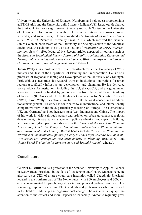University and the University of Erlangen-Nürnberg, and held guest professorships at ETH Zurich and the Universita della Svizzera Italiana (USI, Lugano). He chaired the think tank for the strategic research theme 'Sustainable Society' of the University of Groningen. His research is in the field of organizational governance, social networks, and social theory. He has co-edited *The Handbook of Rational Choice Social Research* (Stanford University Press, 2013), which received the biannual James Coleman book award of the Rationality and Society Section of the American Sociological Association. He is also a co-editor of *Humanitarian Crises, Intervention and Security* (Routledge, 2014). Recent articles appeared in journals such as the *European Sociological Review, Journal of Public Administration Research and Theory, Public Administration and Development, Work, Employment and Society, Group and Organization Management, Social Networks*.

**Johan Woltjer** is a professor of Urban Infrastructures at the University of Westminster and Head of the Department of Planning and Transportation. He is also a professor of Regional Planning and Development at the University of Groningen. Prof. Woltjer concentrates his research work on institutional innovations for urban regions (specifically infrastructure development and planning). He has delivered policy advice for institutions including the EU, the OECD, and the government agencies. His work is funded by grants, such as from the Royal Dutch Academy of Sciences (KNAW) and The Netherlands Organisation for Scientific Research (NWO). Prof. Woltjer is actively involved in international education and educational management. His work has contributed to an international and internationally comparative view to the field, particularly focusing on Europe (The Netherlands, UK, and Germany) and southeastern Asia (e.g., Indonesia and China). The impact of his work is visible through papers and articles on urban governance, regional development, infrastructure management, policy evaluation, and capacity building, appearing in high-impact journals such as the *Journal of the American Planning Association, Land Use Policy, Urban Studies, International Planning Studies, and Environment and Planning*. Recent books include '*Consensus Planning, the relevance of communicative planning theory in Dutch infrastructure development,*' '*Evaluation for Participation and Sustainability in Planning*' (Routledge), and '*Place-Based Evaluation for Infrastructure and Spatial Projects*' Ashgate).

#### **Contributors**

**Gabriël G. Anthonio** is a professor at the Stenden University of Applied Science in Leeuwarden, Friesland, in the field of Leadership and Change Management. He also serves as CEO of a large youth care institution called 'Jeugdhulp Friesland' located in the northern part of The Netherlands, with 800 employees and 3000 clients who are treated for psychological, social, and physical problems each year. His research group consists of nine Ph.D. students and professionals who do research in the field of leadership and organizational change. The researchers pay specific attention to the ethical and moral aspects of leadership. Anthonio regularly gives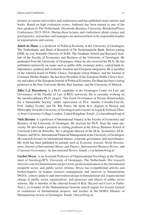lectures at various universities and conferences and has published many articles and books. Based on high evaluation scores, Anthonio has been named as one of the best speakers in The Netherlands (Nyenrode Business University, Breukelen/Focus Conferences 2013–2014). During these lectures and conferences about science and good practice, researchers and managers are instructed how to be responsible leaders in organizations and society.

**Jakob de Haan** is a professor of Political Economy at the University of Groningen, The Netherlands, and Head of Research of De Nederlandsche Bank. Before joining DNB, he was Scientific Director of SOM, The Graduate School and Research Institute of the Faculty of Economics and Business of the University of Groningen. He graduated from the University of Groningen, where he also received his Ph.D. He has published extensively on issues such as public debt, monetary policy, central bank independence, political and economic freedom and European integration. He is member of the editorial board of Public Choice, European Union Politics, and the Journal of Common Market Studies. He has been President of the European Public Choice Society and editor of the European Journal of Political Economy. De Haan has been visiting professor at the Free University Berlin, Kiel Institute, and the University of Munich.

**Jilles L.J. Hazenberg** is a Ph.D. candidate at the Groningen Centre for Law and Governance of the Faculty of Law at RUG university. He is currently working on the interdisciplinary Ph.D. project 'The Good Governance of Private Relationships for a Sustainable Society' under supervision of Prof. Aurelia Colombi-Ciacchi, Prof. Andrej Zwitter, and Dr. Rik Peters. He holds B.A. degrees in History and Philosophy from the University of Groningen and a master in Legal & Political Theory from University College London, United Kingdom. Email: j.l.j.hazenberg@rug.nl

**Niels Hermes** is a professor of International Finance at the Faculty of Economics and Business of the University of Groningen. He received his Ph.D. from the same university. He also holds a position as visiting professor at the Solvay Business School of Université Libre de Bruxelles. He is program director of the M.Sc. Economics, M.Sc. Finance, and M.Sc. International Financial Management at the University of Groningen. His research focuses on international finance, corporate governance, and microfinance. His work has been published in journals such as *Economic Journal*, *World Development*, *Journal of International Money and Finance*, *International Business Review*, and *Corporate Governance: An International Review*. Email: c.l.m.hermes@rug.nl

**Liesbet Heyse** is an Assistant Professor of Organizational Sociology at the Department of Sociology/ICS, University of Groningen, The Netherlands. Her research interests concern humanitarian aid provision, professionalization in the international nonprofit sector, and public sector reforms. Heyse has (co)published articles and books/chapters on human resource management and turnover in humanitarian INGOs, context analysis and intervention design in humanitarian aid, organizational change in public sector organizations, and processes and effects of public sector reforms. She is member of the editorial board of *Risk, Hazard and Crisis in Public Policy*, co-founder of the Humanitarian Genome search engine for lessons learned in evaluations of humanitarian projects, and teaches in the NOHA Masters of Humanitarian Action at Groningen. Email: l.heyse@rug.nl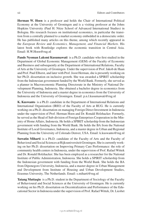**Herman W. Hoen** is a professor and holds the Chair of International Political Economy at the University of Groningen and is a visiting professor at the Johns Hopkins University (Paul H. Nitze School of Advanced International Studies) in Bologna. His research focuses on institutional economics, in particular the transition from a centrally planned to a market economy embedded in a democratic order. He has published many articles on this theme, among which recently appeared in the *European Review* and *Economics, Management, and Financial Markets*. His latest book with Routledge explores the economic transition in Central Asia. Email: H.W.Hoen@rug.nl

**Pande Nyoman Laksmi Kusumawati** is a Ph.D. candidate who first studied in the Department of Global Economic Management (GEM) of the Faculty of Economic and Business and subsequently at the Department of International Relations, Faculty of Arts at the University of Groningen. Under the supervision of Prof. Jakob de Haan and Prof. Paul Elhorst, and later with Prof. Joost Herman, she is presently working on her Ph.D. dissertation on inclusive growth. She was awarded a SPIRIT scholarship from the Indonesian government funded by the World Bank. Formerly, she served as a planner in Macroeconomic Planning Directorate in the Ministry of National Development Planning, Indonesia. She obtained a bachelor degree in economics from the University of Indonesia and a master degree in economics from the University of Indonesia and the University of Groningen. Email: p.n.l.kusumawati@rug.nl

**K. Kuswanto** is a Ph.D. candidate in the Department of International Relations and International Organization (IRIO) of the Faculty of Arts at RUG. He is currently working on a Ph.D. dissertation on managing Foreign Direct Investment in Indonesia under the supervision of Prof. Herman Hoen and Dr. Ronald Holzhacker. Formerly, he served as the Head of Sub-division of Foreign Enterprises Cooperation in the Ministry of Home Affairs, Indonesia. He holds a SPIRIT scholarship from the Indonesian government with funding from the World Bank. He holds the BA from the National Institute of Local Governance, Indonesia, and a master degree in Urban and Regional Planning from the University of Colorado Denver, USA. Email: k.kuswanto@rug.nl

**Suwatin Miharti** is a Ph.D. candidate of the Faculty of Arts and the Faculty of Behavioral and Social Sciences at Rijksuniversiteit Groningen. She is currently working on her Ph.D. dissertation on Improving Primary Care Performance: the role of community health centers in Indonesia, under the supervision of Prof. Rafael Wittek and Dr. Ronald Holzhacker. She has been employed as a researcher for the National Institute of Public Administration, Indonesia. She holds a SPIRIT scholarship from the Indonesian government with funding from the World Bank. She holds the BA from Diponegoro University, Indonesia, and a master degree in Urban Management and Development from Institute of Housing and Urban Development Studies, Erasmus University, The Netherlands. Email: s.miharti@rug.nl

**Tatang Muttaqin** is a Ph.D. student in the Department of Sociology of the Faculty of Behavioural and Social Sciences at the University of Groningen. He is currently working on his Ph.D. dissertation on Decentralization and Performance of the Educational Sector in Indonesia under the supervision of Prof. Rafael Wittek, Dr. Liesbet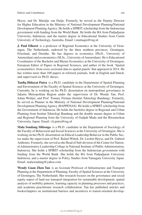Heyse, and Dr. Marijtje van Duijn. Formerly, he served as the Deputy Director for Higher Education in the Ministry of National Development Planning/National Development Planning Agency. He holds a SPIRIT scholarship from the Indonesian government with funding from the World Bank. He holds the BA from Padjadjaran University, Indonesia, and the master degree in Educational Studies from Curtin University of Technology, Australia. Email: t.muttaqin@rug.nl

**J. Paul Elhorst** is a professor of Regional Economics at the University of Groningen, The Netherlands, endowed by the three northern provinces: Groningen, Friesland, and Drenthe. He has degrees in economics (Ph.D., University of Amsterdam) and econometrics (M.Sc., University of Amsterdam). He is Educational Coordinator of the Bachelor and Master Economics at the University of Groningen, European Editor of Papers in Regional Sciences, and author of the book 'Spatial econometrics: from cross-sectional data to spatial panels' that appeared in 2014. He has written more than 100 papers in refereed journals, both in English and Dutch, and supervised six Ph.D. theses.

**Taufiq Hidayat Putra** is a Ph.D. candidate in the Department of Spatial Planning and Environment of the Faculty of Spatial Sciences at the University of Groningen. Currently, he is working on his Ph.D. dissertation on metropolitan governance in Jakarta Metropolitan Region under the supervision of Dr. Wendy Tan, Prof. Johan Woltjer, and Prof. Tommy Firman (Institut Teknologi Bandung). Formerly, he served as Planner in the Ministry of National Development Planning/National Development Planning Agency (BAPPENAS). He holds a SPIRIT scholarship from the Government of Indonesia. He holds the bachelor degree in Regional and Urban Planning from Institut Teknologi Bandung and the double master degree in Urban and Regional Planning from the University of Gadjah Mada and the Ritsumeikan University, Japan. Email: t.h.putra@rug.nl

**Mala Sondang Silitonga** is a Ph.D. candidate in the Department of Sociology of the Faculty of Behavioral and Social Sciences at the University of Groningen. She is working on her Ph.D. dissertation on Ethical Leadership Behavior in the Public Sector under the supervision of Prof. Rafael Wittek, Dr. Liesbet Heyse, and Dr. Gabriel Anthonio. Formerly, she served as the Head of Sub-division of the Center for National Administrative Leadership College in National Institute of Public Administration, Indonesia. She holds a SPIRIT scholarship from the Indonesian government with funding from the World Bank. She holds the BA from Padjadjaran University Indonesia, and a master degree in Policy Studies from Yamagata University Japan. Email: malasondang@yahoo.com

**Wendy Guan Zhen Tan** is an Assistant Professor of Infrastructure and Transport Planning at the Department of Planning, Faculty of Spatial Sciences at the University of Groningen, The Netherlands. Her research focuses on the governance and social equity aspect of land use transport integration for sustainable development, spatial analysis of mobility patterns, learning capacity in planning processes and practices, and academic-practitioner research collaboration. Tan has published articles and books/chapters on institutional barriers and incentives to transit-oriented develop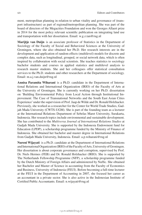ment, metropolitan planning in relation to urban vitality and governance of (transport infrastructure) as part of regional/metropolitan planning. She was part of the board of directors of the Megacities Foundation and won the Georges Allaert prize in 2014 for the most policy relevant scientific publication on integrating land use and transportation with her dissertation. Email: w.g.z.tan@rug.nl

**Marijtje van Duijn** is an associate professor of Statistics in the Department of Sociology of the Faculty of Social and Behavioral Sciences at the University of Groningen, where she also obtained her Ph.D. Her research interests are in the development and application of random effects (multilevel) models for discrete and complex data, such as longitudinal, grouped, or social network data, which is often inspired by collaboration with social scientists. She teaches statistics to sociology bachelor students and courses in applied statistics and multilevel analysis to research master students. She and her colleagues offer statistical consultation services to the Ph.D. students and other researchers at the Department of sociology. Email: m.a.j.van.duijn@rug.nl

**Annisa Paramita Wiharani** is a Ph.D. candidate in the Department of International Relations and International Organization (IRIO) of the Faculty of Arts at the University of Groningen. She is currently working on her Ph.D. dissertation on 'Building Environmental Policy from Local Action through Institutional Improvement: The Case of Transnational Networks and the South East Asian Cities Experience' under the supervision of Prof. Jaap de Wilde and Dr. Ronald Holzhacker. Previously, she worked as a researcher for the Center for World Trade Studies, Gadjah Mada University (CWTS-UGM). She is part of the founding team as a lecturer at the International Relations Department of Sebelas Maret University, Surakarta, Indonesia. Her research topics include environmental and sustainable development. She has contributed to the *Multiversa Journal of International Relations Studies* at Gadjah Mada University. She is supported by the Indonesia Endowment fund for Education (LPDP), a scholarship programme funded by the Ministry of Finance of Indonesia. She obtained her bachelor and master degree in International Relations from Gadjah Mada University, Indonesia. Email: a.p.wiharani@rug.nl

**Nureni Wijayati** is a Ph.D. candidate at the Department of International Relations and International Organization (IRIO) of the Faculty of Arts, University of Groningen. Her dissertation is about corporate governance and corruption, supervised by Prof. Dr. Niels Hermes (FEB) and Dr. Ronald Holzhacker (IRIO). She is supported by The Netherlands Fellowship Programme (NFP), a scholarship programme funded by the Dutch Ministry of Foreign Affairs and administered by Nuffic. She obtained her Bachelor and Master of Science in accounting from the Faculty of Economics and Business, University of Indonesia (FEUI). Before becoming a full-time lecturer at the FEUI in the Department of Accounting in 2007, she focused her career as an accountant in a private sector. She is also active in the Indonesian Institute of Certified Public Accountants. Email: n.wijayati@rug.nl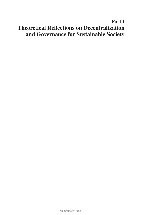# **Part I Theoretical Reflections on Decentralization and Governance for Sustainable Society**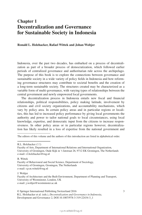# <span id="page-16-0"></span>**Chapter 1 Decentralization and Governance for Sustainable Society in Indonesia**

**Ronald L. Holzhacker, Rafael Wittek and Johan Woltjer**

Indonesia, over the past two decades, has embarked on a process of decentralization as part of a broader process of democratization, which followed earlier periods of centralized governance and authoritarian rule across the archipelago. The purpose of this book is to explore the connections between governance and sustainable society in a wide variety of policy fields in Indonesia and how reforming governance structures may contribute to societal benefits and the creation of a long-term sustainable society. The structures created may be characterized as a variable form of multi-governance, with varying types of relationships between the central government and newly empowered local governments.

The decentralization process in Indonesia entails new fiscal and financial relationships, political responsibilities, policy making latitude, involvement by citizens and civil society organizations, and accountability mechanisms, which vary by policy area. In certain policy areas and in particular regions or localities, this has led to increased policy performance by giving local governments the authority and power to tailor national goals to local circumstances, using local knowledge, expertise, and democratic input from the citizens to increase responsiveness. In other policy areas or in particular regions however, decentralization has likely resulted in a loss of expertise from the national government and

The editors of this volume and the authors of this introduction are listed in alphabetical order.

J. Woltjer

R.L. Holzhacker  $(\boxtimes)$ 

Faculty of Arts, Department of International Relations and International Organization, University of Groningen, Oude Kijk in 't Jatstraat 26, 9712 EK Groningen, The Netherlands e-mail: r.l.holzhacker@rug.nl

R. Wittek

Faculty of Behavioural and Social Science, Department of Sociology, University of Groningen, Groningen, The Netherlands e-mail: r.p.m.wittek@rug.nl

Faculty of Architecture and the Built Environment, Department of Planning and Transport, University of Westminster, London, UK

e-mail: j.woltjer@westminster.ac.uk

<sup>©</sup> Springer International Publishing Switzerland 2016

R.L. Holzhacker et al. (eds.), *Decentralization and Governance in Indonesia*, Development and Governance 2, DOI 10.1007/978-3-319-22434-3\_1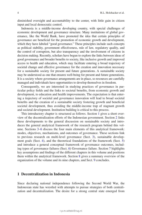diminished oversight and accountability to the center, with little gain in citizen input and local democratic control.

Indonesia is a middle-income developing country, with special challenges of economic development and governance structure. Many institutions of global governance, like the World Bank, have promoted the idea that certain principles of governance are beneficial for the promotion of economic growth and development, which they have labeled "good governance." These principles include such concepts as political stability, government effectiveness, rule of law, regulatory quality, and the control of corruption, but also transparency and the involvement of citizens in decision making. Recently, scholars have begun to explore the links between ideas of good governance and broader benefits to society, like inclusive growth and improved access to health and education, which may facilitate entering a broad trajectory of societal change and effective governance for the creation and innovation necessary for a sustainable society for present and future generations. A sustainable society may be understood as one that ensures well-being for present and future generations. It is a society where governance arrangements are in place, so resources are carefully managed and individuals have opportunities to develop themselves in freedom.

Consequently, we are interested in studying practices of governance in particular policy fields and the links to societal benefits, from economic growth and development, to education and health improvements. The expectation is that entering a trajectory of societal and governance innovation will lead to broad societal benefits and the creation of a sustainable society fostering growth and beneficial societal development, thus avoiding the middle-income trap of stagnant growth and societal development. Institution building is critical to this process.

This introductory chapter is structured as follows. Section [1](#page-17-0) gives a short overview of the decentralization efforts of the Indonesian government. Section [2](#page-20-0) links these developments to the general discussion on sustainable society and introduces the general analytical framework of the research program behind this volume. Sections [3](#page-21-0)[–6](#page-28-0) discuss the four main elements of this analytical framework: modes, objectives, mechanisms, and outcomes of governance. These sections link to previous research on multi-level governance (Sect. [3\)](#page-21-0), sustainable development goals (Sect. [4](#page-24-0)), and the theoretical foundations of the framework (Sect. [5](#page-26-0)) and introduce a general conceptual framework of governance outcomes, including types of governance failures (Sect. [6\)](#page-28-0) Governance failure. Section [7](#page-31-0) highlights key assumptions and findings of the different chapters in this volume and positions them within the analytical framework. Section [8](#page-34-0) gives a summary overview of the organization of the volume and its nine chapters, and Sect. [9](#page-38-0) concludes.

#### <span id="page-17-0"></span>**1 Decentralization in Indonesia**

Since declaring national independence following the Second World War, the Indonesian state has wrestled with attempts to pursue strategies of both centralization and decentralization. The desire for a strong central state emerged from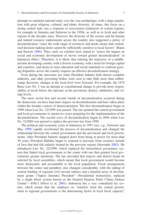attempts to maintain national unity over the vast archipelago, with a large population with great religious, cultural, and ethnic diversity. At times, this focus on a strong central state was a response to secessionist tendencies in certain regions, for example in Sumatra and Sulawasi in the 1950s, as well as in Aceh and other regions in the decades since. However, the diversity of the society and the human and natural resource endowments across the country also suggested a policy of decentralization "since the wide range of resources and needs means that centralized decision making alone cannot be sufficiently sensitive to local factors" (Ranis and Stewart [1994\)](#page-42-0). Thus, early on scholars have aimed to "assess the impact on social and economic development of moves toward greater decentralization" in Indonesia (Ibid.). Therefore, it is likely that entering the trajectory of a middleincome developing country with a diverse economy, with a need for foreign capital and expertise, and desire to raise education and social standards to confront growing disparities across the country requires an effective decentralization strategy.

Even during the autocratic era when President Suharto held almost complete authority, and other governing bodies were seen to take little more than rubberstamp decisions, changes at the local level were foreseen. For example, the 1974 Basic Law No. 5 was an attempt at constitutional change to provide more responsibility at levels below the national, at the provincial, district, subdistrict, and village levels.

The more recent first and second rounds of decentralization occurred during the democratic era have had more impact on decentralization and have taken place within the broader context of democratization. The first decentralization began in 1999 when Law No. 22/1999 was passed. The law granted the central government and local governments to spend two years preparing for the implementation of the decentralization. The second wave of decentralization began in 2004 when Law No. 32/2004 was passed to replace the previous law from 1999.

The political and economic crisis in Indonesia in 1997 (see, e.g., Forrester and May [1999](#page-41-0)) rapidly accelerated the process of decentralization and changed the relationship between the central government and the provincial and local governments. After President Suharto stepped down from being in power for more than 30 years, President Habibie began to respond to pressure from societies outside of Java that had felt unfairly treated by the previous regime (Suwondo [2002\)](#page-42-1). He introduced Law No. 22/1999, which replaced the hierarchical governance system that linked local governments to the center with one that granted local governments greater autonomy. The law provided that mayors and district heads be selected by local assemblies, which meant that local government would become more democratic and accountable to the local population. Fiscal arrangements between the center and periphery also changed considerably, with the ending of central funding of regional civil servant salaries and a detailed array of development grants ("Inpres Instruksi President"—Presidential instruction), replaced by a single block system known as the General Purpose Fund ("Dana Alokasi Umum"—DAU) (Silver et al. [2001\)](#page-42-2). Indonesia has a very centralized tax system, which means that the emphasis on "transfers from the central government to regional governments is the determining factor in local fiscal capacity"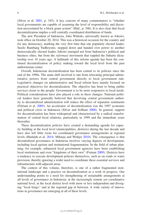(Silver et al. [2001](#page-42-2), p. 345). A key concern of many commentators is "whether local governments are capable of assuming the level of responsibility and discretion necessitated by a block grant system" (Ibid., p. 346). It is also clear that fiscal decentralization implies a still centrally coordinated distribution of funds.

The new President of Indonesia, Joko Widodo, universally known as Jokowi, took office on October 20, 2014. This was a historical occasion for the country and for any democracy, marking the very first time that one popularly elected leader, Susilo Bambang Yudhoyono, stepped down and handed over power to another democratically elected leader. Jokowi emerged not from Indonesia's political and business elites, but from the *reformasi* movement that toppled the Suharto dictatorship over 16 years ago. A hallmark of this reform agenda has been the continued decentralization of policy making toward the local level from the past authoritarian center.

Overall, Indonesian decentralization has been central to its policies since the end of the 1990s. The main shift involved is one from relocating principal administrative powers from central government directly to local government rule. Legislative changes on administrative and fiscal reform have mainly focused on practical objectives for decentralization. The objective has been to bring public services closer to the people: Government is to be more responsive to local needs. Political considerations have also played a role in these changes. National political leaders have generally believed that devolving central government authority to decentralized administration will reduce the effect of separatist sentiments (Fitriani et al. [2005\)](#page-41-1). An accelerator of decentralization was the 1997 economic and political crisis in Indonesia (Silver and Sofhani [2008](#page-42-3)). In general, support for decentralization has been widespread and characterized by a radical transformation of central–local relations, particularly in 1999 and the immediate years thereafter.

These decentralization policies have created a demanding agenda for capacity building at the local level (municipalities, districts) during the last decade and have also left little room for coordinated governance arrangements at regional levels (Hudalah et al. [2014](#page-41-2); Miharja and Woltjer [2010](#page-41-3)). The consequence is that decentralized governance in Indonesia involves varying degrees of development, including local egoism and institutional fragmentation. In the field of urban planning, for example, urbanized local government agencies have been establishing local institutions and even "kingdoms of their own" (Firman [2009](#page-41-4)). Districts have a tendency to execute development policies themselves, such as on roads or water provision, thereby ignoring a wider need to coordinate these essential services and infrastructure with adjacent areas.

The context of this volume, therefore, is one of a rather fragmented institutional landscape and a practice on decentralization as a work in progress. Our understanding points to a need for strengthening of sustainable arrangements at all levels of governance in Indonesia: at the increasingly remote yet coordinative national level, at the local district level with more or less independent and diverging "local kings," and at the regional gap in between. A wide variety of innovations in governance are emerging at all of these levels.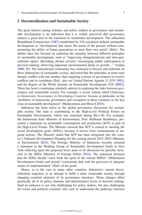#### <span id="page-20-0"></span>**2 Decentralization and Sustainable Society**

The great interest among scholars and policy makers in governance and sustainable development is an indication that it is widely perceived that governance matters a great deal in the transition to sustainable development. The influential Brundtland Commission [\(1987](#page-40-0)) established by UN resolution defined sustainable development as "development that meets the needs of the present without compromising the ability of future generations to meet their own needs" (Ibid.). The debate since has focused on exploring the interplay between different principles of sustainable development, such as "improving intergenerational and intra-generational equity; alleviating chronic poverty; encouraging public participation in decision making; observing important environmental limits to growth…" (Jordan [2008,](#page-41-5) 20). The international community has continued to discuss and elaborate on these dimensions of sustainable society, and noted that the principles at times may sharply conflict with one another, thus requiring systems of governance to resolve conflicts and to coordinate (Ibid., also see United Nations Agenda 21 [UN [1992\)](#page-42-4), and the Report of the World Summit on Sustainable Development (UN [2002](#page-42-5))]. There has been a continuing scholarly interest in exploring the links between governance and sustainable society. For example, a recent volume titled *Challenges to Democratic Governance in Developing Countries* focuses in particular on the "problems of democratic governance and corruption in these countries as the key issue in sustainable development" (Mudacumura and Morcol [2014\)](#page-41-6).

Indonesia has been active in the global governance discussion for sustainable society. The state is contributing to the High-Level Political Forum on Sustainable Development, which was launched during Rio+20. For example, the Indonesian State Minister of Environment, Prof. Balthasar Kambuaya, presented a statement on sustainable consumption and production (SCP) as part of the High-Level Forum. The Minister stressed that SCP is central to meeting the social development goals (SDGs), because it moves from commitments to targeted actions. The Minister stated that SCP has been integrated into the country's National Development Planning for the coming period 2015–2019 (Ministry of Environment [2014\)](#page-41-7). The Foreign Ministry of Indonesia recently released a statement to the Working Group of Sustainable Development Goals in New York reflecting upon the proposed focus areas to be discussed for possible inclusion in the SDGs (Ministry of Foreign Affairs [2014\)](#page-41-8). The statement declared that the SDGs should "carry forth the spirit of the current MDGs" (Millennium Development Goals) and should "consistently link with the provision of adequate means of implementation" (Ibid.) of the goals.

Hence, as is the case in many other countries, Indonesia's current decentralization trajectory is an attempt to build a more sustainable society through changing essential elements of its governance structures. These changes affect practically all of its policy domains and administrative levels of decision making. Such an endeavor is not only challenging for policy makers, but also challenging for social and political scientists who seek to understand the pathways between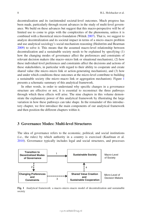decentralization and its (un)intended societal-level outcomes. Much progress has been made, particularly through recent advances in the study of multi-level governance. We build on these advances but suggest that this macro-perspective will be of limited use to come to grips with the complexities of the phenomena, unless it is combined with a theoretical micro-foundation (Wittek [2007\)](#page-42-6). That is, we suggest to analyze decentralization and its societal impact in terms of a micro–macro problem and use analytical sociology's social mechanism reasoning (Hedström and Bearman [2009\)](#page-41-9) to solve it. This means that the assumed macro-level relationship between decentralization and a sustainable society needs to be explained by specifying (1) how the changing modes of governance affect the preferences and constraints of relevant decision makers (the macro–micro link or situational mechanism), (2) how these individual-level preferences and constraints affect the decisions and actions of these stakeholders, in particular with regard to their ability to cooperate and create shared value (the micro–micro link or action-generating mechanism), and (3) how and under which conditions these outcomes at the micro-level contribute to building a sustainable society (the micro–macro link or aggregation mechanism). Figure [1](#page-21-1) presents a schematic summary of this analytical framework.

In other words, in order to understand why specific changes in a governance structure are effective or not, it is essential to reconstruct the three pathways through which these effects will arise. The nine chapters in this volume demonstrate the explanatory power of this analytical framework by illustrating the large variation in how these pathways can take shape. In the remainder of this introductory chapter, we first introduce the main components of our analytical framework and then position the different chapters within it.

#### <span id="page-21-0"></span>**3 Governance Modes: Multi-level Structures**

The idea of governance refers to the economic, political, and social institutions (i.e., the rules) by which authority in a country is exercised (Kaufman et al. [2010\)](#page-41-10). Governance typically includes legal and social structures, and processes



<span id="page-21-1"></span>**Fig. 1** Analytical framework: a macro–micro–macro model of decentralization and sustainable society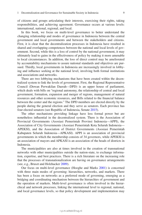of citizens and groups articulating their interests, exercising their rights, taking responsibilities, and achieving agreement. Governance occurs at various levels: international, national, regional, and local.

In this book, we focus on multi-level governance to better understand the changing relationship and modes of governance in Indonesia between the central government and local governments and between the stakeholders and citizens. First, it is clear that the decentralization processes in Indonesia have resulted in shared and overlapping competences between the national and local levels of government. Second, while this is a loss of control by the national government, it may ultimately lead to gains in the effectiveness of policy by making it more amenable to local circumstances. In addition, the loss of direct control may be ameliorated by accountability mechanisms to assure national standards and objectives are pursued. Thirdly, local governments in Indonesia are increasingly involved in lobbying and influence seeking at the national level, involving both formal institutions and associations and networks.

There are two lobbying mechanisms that have been created within the decentralized system to link the levels of government. First, the Regional Representative Council (Dewan Perwakilan Daerah—DPD) is an upper house of parliament, which deals with bills on "regional autonomy, the relationship of central and local government, formation, expansion and merger of regions, management of natural resources and other economic resources, and Bills related to the financial balance between the center and the regions." The DPD members are elected directly by the people during the general election and they serve as senators. Each province has four elected senators (see Republic of Indonesia, Senate [2015](#page-42-7)).

The other mechanisms providing linkage have less formal power but are nonetheless influential in the decentralized system. There is the Association of Provincial Governments (Asosiasi Pemerintah Provinsi Indonesia—APPI), the Association of City Governments (Asosiasi Pemerintah Kota Seluruh Indonesia— APEKSI), and the Association of District Governments (Asosiasi Pemerintah Kabupaten Seluruh Indonesia—APKASI). APPI is an association of provincial governments in which the membership consists of 34 governors, while APEKSI is an association of mayors and APKASI is an association of the heads of districts in Indonesia.

The municipalities are also at times involved in the creation of transnational networks with other municipalities outside the nation-state, to exchange information, expertise, and best practices. There is a rich literature on the increasing role that the processes of transnationalization are having on governance arrangements (see, e.g., Bruszt and Holzhacker [2009](#page-40-1)).

Our focus on multi-level governance (Hooghe and Marks [2001](#page-41-11)) is concerned with three main modes of governing: hierarchies, networks, and markets. There has been a focus on networks as a preferred mode of governing, emerging as a bridging and coordinating mechanism between the hierarchies of government and the operation of markets. Multi-level governance is often involved in the hierarchical and network processes, linking the international level to regional, national, and local governance levels, so that policy development and implementation may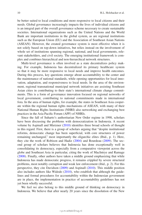be better suited to local conditions and more responsive to local citizens and their needs. Global governance increasingly impacts the lives of individual citizens and is an integral part of the overall governance scheme necessary to create sustainable societies. International organizations such as the United Nations and the World Bank are important institutions in the global system, as are regional institutions such as the European Union (EU) and the Association of Southeast Asian Nations (ASEAN). However, the created governance system is most effective when it is not solely based on top-down initiatives, but relies instead on the involvement of whole set of institutions spanning regional, national, and local governments, relevant stakeholders, and civil society. The emerging institutional framework is complex and combines hierarchical and non-hierarchical network structures.

Multi-level governance is often involved as a state decentralizes policy making. For example, Indonesia has decentralized its primary healthcare system so that it may be more responsive to local needs and improve health outcomes. During this process, key questions emerge about accountability to the center and the maintenance of national standards, while opening opportunities for local innovation, adaptation, and responsiveness to local needs. In the area of the environment, regional transnational municipal network initiatives are assisting Southeast Asian cities in contributing to their state's international climate change commitments. This is a form of governance innovation focused on regional networks of local government, contributing to national commitments made in international fora. In the area of human rights, for example, the states in Southeast Asia cooperate within the regional human rights mechanisms of ASEAN, with many of their National Human Rights Institutions (NHRI) also networking and exchanging best practices in the Asia Pacific Forum (APF) of NHRIs.

Since the fall of Suharto's authoritarian New Order regime in 1998, scholars have been discussing the problems with democratization in Indonesia. A recent volume by Aspinall and Mietzner ([2010\)](#page-40-2) identifies three broad schools of thought in this regard. First, there is a group of scholars arguing that "despite institutional reforms, democratic change has been superficial, with core structures of power remaining unchanged," most importantly the oligarchic elites (Ibid., p. 1). Here, they cite the work of Robison and Hadiz [\(2004](#page-42-8)) and Bourdeau [\(2009](#page-40-3)). The second group of scholars believes that Indonesia has done exceptionally well in consolidating its democracy, especially from a comparative viewpoint across the globe and Southeast Asia in particular, citing the work of MacIntrye and Ramage [\(2008](#page-41-12)). Finally, other authors have taken a middle ground emphasizing that while Indonesia has made democratic progress, it remains crippled by severe structural problems, most notably corruption and weak law enforcement (ibid., p. 2). For this perspective, they cite Davidson ([2009\)](#page-40-4) and Aspinall [\(2010](#page-40-5)). This middle position also includes authors like Widodo [\(2010](#page-42-9)), who establish that although the guidelines and formal procedures for accountability within the Indonesian government are in place, the implementation in practice of accountability guidelines has not yet been wholly successful.

We feel we also belong to this middle ground of thinking on democracy in Indonesia. We believe that after nearly 20 years since the dissolution of the New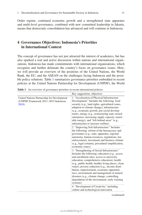Order regime, continued economic growth and a strengthened state apparatus and multi-level governance, combined with new committed leadership in Jakarta, means that democratic consolidation has advanced and will continue in Indonesia.

#### <span id="page-24-0"></span>**4 Governance Objectives: Indonesia's Priorities in International Context**

The concept of governance has not just attracted the interest of academics, but has also sparked a real and active discussion within nations and international organizations. Indonesia has made commitments with international organizations, which recognize and further delineate the country's focus on governance issues. Here, we will provide an overview of the positions of the United Nations, the World Bank, the EU, and the ASEAN on the challenges facing Indonesia and the possible policy solutions. Table [1](#page-24-1) summarizes governance priorities embedded in recent policies at the United Nations Partnership for Development (UNPDF), the World

|                                                                                             | Key suggestions, objectives                                                                                                                                                                                                                                                                                                                                                                                                                                                                                    |  |
|---------------------------------------------------------------------------------------------|----------------------------------------------------------------------------------------------------------------------------------------------------------------------------------------------------------------------------------------------------------------------------------------------------------------------------------------------------------------------------------------------------------------------------------------------------------------------------------------------------------------|--|
| United Nations Partnership for Development<br>(UNPDF Framework 2011-2015 Indonesia<br>2010) | 1. "Acceleration of Physical Infrastructure<br>Development." Includes the following: food<br>security (e.g., land rights, agricultural zones,<br>adaption to climate change), infrastructure<br>(e.g., economic growth, just social develop-<br>ment), energy (e.g., restructuring state-owned<br>enterprises, increasing supply capacity, renew-<br>able energy), and "left-behind areas" (e.g.,<br>infrastructure to increase welfare)                                                                       |  |
|                                                                                             | 2. "Improving Soft Infrastructure." Includes<br>the following: reform of the bureaucracy and<br>governance (e.g., state, apparatus, regional<br>autonomy, human resources, regulations, law<br>enforcement), investment and business climate<br>(e.g., legal certainty, procedural simplification,<br>economic zones)                                                                                                                                                                                          |  |
|                                                                                             | 3. "Strengthening of Social Infrastructure."<br>Includes the following: education (e.g., access<br>and enrollment rates, access to university<br>education, comprehensive education), health<br>(e.g., public health, healthy living places, clean<br>water), poverty reduction (e.g., income distri-<br>bution, empowerment, economic opportuni-<br>ties), environment and management of natural<br>disasters (e.g., climate change, controlling<br>degradation of the environment, early warning<br>systems) |  |
|                                                                                             | 4. "Development of Creativity," including<br>culture and technological innovation                                                                                                                                                                                                                                                                                                                                                                                                                              |  |

<span id="page-24-1"></span>

|  | <b>Table 1</b> An overview of governance priorities in recent international policies |  |  |  |  |  |
|--|--------------------------------------------------------------------------------------|--|--|--|--|--|
|--|--------------------------------------------------------------------------------------|--|--|--|--|--|

(continued)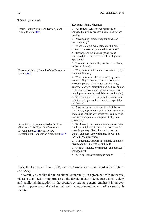|                                                                                                                                                             | Key suggestions, objectives                                                                                                                                                                                                                                                                      |  |
|-------------------------------------------------------------------------------------------------------------------------------------------------------------|--------------------------------------------------------------------------------------------------------------------------------------------------------------------------------------------------------------------------------------------------------------------------------------------------|--|
| World Bank (World Bank Development<br>Policy Review 2014)                                                                                                   | 1. "A stronger Center of Government to<br>manage the policy process and resolve policy<br>conflicts"                                                                                                                                                                                             |  |
|                                                                                                                                                             | 2. "Streamlined bureaucracy for enhanced<br>accountability"                                                                                                                                                                                                                                      |  |
|                                                                                                                                                             | 3. "More strategic management of human<br>resources across the public administration"                                                                                                                                                                                                            |  |
|                                                                                                                                                             | 4. "Better planning and budgeting proce-<br>dures to deliver improved results with public<br>spending"                                                                                                                                                                                           |  |
|                                                                                                                                                             | 5. "Stronger accountability for service delivery<br>at the local level"                                                                                                                                                                                                                          |  |
| European Union (Council of the European<br><b>Union 2009)</b>                                                                                               | 1. "Cooperation in trade and investment" (e.g.,<br>trade facilitation)                                                                                                                                                                                                                           |  |
|                                                                                                                                                             | 2. "Cooperation in other sectors" (e.g., eco-<br>nomic policy dialogue, industrial policy and<br>SME cooperation, science and technology,<br>energy, transport, education and culture, human<br>rights, the environment, agriculture and rural<br>development, marine and fisheries, and health) |  |
|                                                                                                                                                             | 3. "Civil society" (e.g., role and potential con-<br>tribution of organized civil society, especially<br>academics)                                                                                                                                                                              |  |
|                                                                                                                                                             | 4. "Modernization of the public administra-<br>tion" (e.g., improving organizational efficiency,<br>increasing institutions' effectiveness in service<br>delivery, transparent management of public<br>resources)                                                                                |  |
| <b>Association of Southeast Asian Nations</b><br>(Framework for Equitable Economic<br>Development 2011; ASEAN-EU<br>Development Cooperation Agreement 2015) | 1. "Enable regional economic integration based<br>on the principles of inclusive and sustainable<br>growth, poverty alleviation and narrowing<br>the development gap within and between all<br><b>ASEAN Member States"</b>                                                                       |  |
|                                                                                                                                                             | 2. "Connectivity through sustainable and inclu-<br>sive economic integration and trade"                                                                                                                                                                                                          |  |
|                                                                                                                                                             | 3. "Climate change, environment and disaster<br>management"                                                                                                                                                                                                                                      |  |
|                                                                                                                                                             | 4. "A comprehensive dialogue facility"                                                                                                                                                                                                                                                           |  |

#### **Table 1** (continued)

Bank, the European Union (EU), and the Association of Southeast Asian Nations (ASEAN).

Overall, we see that the international community, in agreement with Indonesia, places a good deal of importance on the development of democracy, civil society, and public administration in the country. A strong, general emphasis is on economic opportunity and choice, and well-being-oriented aspects of a sustainable society.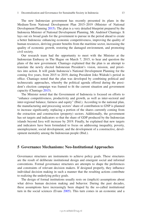The new Indonesian government has recently presented its plans in the Medium-Term National Development Plan 2015–2019 (Minister of National Development Planning [2015\)](#page-41-14). The plan is a very detailed blueprint prepared by the Indonesia Minister of National Development Planning, Mr. Andrinof Chaniago. It lays out six broad goals for the government to pursue in the period ahead to create a better Indonesia: enhancing economic competitiveness, improving the quality of human resources, deriving greater benefits from the maritime sector, increasing the quality of economic growth, restoring the damaged environment, and promoting civil society.

Our research team had the opportunity to meet with the Minister at the Indonesian Embassy in The Hague on March 7, 2015, to hear and question the plans of the new government. Chaniago explained that the plan is an attempt to translate the newly elected Indonesian President's vision, mission, and priorities into action. It will guide Indonesia's National Development Planning for the coming five years, from 2015 to 2019, during President Joko Widodo's period in office. Chaniago noted that the plan was developed by combining political and technocratic approaches, whereby the political agenda offered during the president's election campaign was framed to fit the current situation and government capacity (Chaniago [2015\)](#page-40-8).

The Minister noted that the Government of Indonesia is focused on efforts to "enhance competitiveness, productivity and growth, as well as inter-sectoral and inter-regional balance, fairness and equity" (Ibid.). According to the national plan, the manufacturing and processing sectors' share of contribution to GNP is planned to increase significantly, replacing a portion of the shares currently coming from the extraction and construction (property) sectors. Additionally, the government has set targets and indicators so that the share of GDP produced by the Indonesian islands beyond Java will increase by 2019. Finally, he explained that new targets and indicators have been formulated to focus on addressing inequality, poverty, unemployment, social development, and the development of a constructive, development mentality among the Indonesian people (Ibid.).

#### <span id="page-26-0"></span>**5 Governance Mechanisms: Neo-Institutional Approaches**

Governance structures are instruments to achieve policy goals. These structures are the result of deliberate institutional design and emergent social and informal conventions. Formal governance structures are attempts to shape the preferences and constraints of relevant decision makers. If designed properly, they influence individual decision making in such a manner that the resulting actions contribute to realizing the underlying policy goals.

The design of formal institutions usually rests on (implicit) assumptions about what drives human decision making and behavior. During the past decades, these assumptions have increasingly been shaped by the so-called institutional turn in the social sciences (Evans [2005](#page-41-15)). This turn comes in an economic and a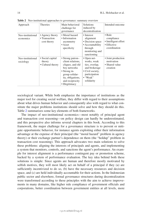| Approach                       | Theories                                        | Main behavioral<br>challenge for<br>governance                                                                                                                                | <b>Solutions</b><br>induced by<br>decentralization                                                                                         | Intended outcome                                                                    |
|--------------------------------|-------------------------------------------------|-------------------------------------------------------------------------------------------------------------------------------------------------------------------------------|--------------------------------------------------------------------------------------------------------------------------------------------|-------------------------------------------------------------------------------------|
| Neo-institutional<br>economics | • Agency theory<br>• Transaction<br>cost theory | • Moral hazard<br>• Information<br>asymmetry<br>$\bullet$ Asset<br>specificity                                                                                                | • Interest<br>alignment<br>• Decision space<br>• Accountability<br>through<br>monitoring and<br>sanctioning                                | $\bullet$ Rule<br>compliance<br>• Intelligent effort<br>• Effective<br>coordination |
| Neo-institutional<br>sociology | • Social capital<br>theory<br>• Cultural theory | • Strong patron-<br>client relations,<br>cliques, and old<br>boy networks<br>$\bullet$ Strong in-<br>group solidar-<br>ity, obligations,<br>and reciprocity<br>• Illegitimacy | $\bullet$ Open net-<br>works, weak<br>ties, overlap,<br>and brokerage<br>• Civil society,<br>participation<br>$\cdot$ "Weak"<br>solidarity | • Joint production<br>motivation<br>• Shared value<br>creation                      |

<span id="page-27-0"></span>**Table 2** Neo-institutional approaches to governance: summary overview

sociological variant. While both emphasize the importance of institutions as the major tool for creating social welfare, they differ with regard to their assumptions about what drives human behavior and consequently also with regard to what constitute the major problems institutions should solve and how they should do this. Table [2](#page-27-0) summarizes some key elements of both frameworks.

The impact of neo-institutional economics—most notably of principal agent and transaction cost reasoning—on policy design can hardly be underestimated, and this perspective also informs several chapters in this book. According to this framework, the major challenge for a governance structure is to prevent or mitigate opportunistic behavior, for instance agents exploiting either their information advantage at the expense of their principal (the "moral hazard" problem in agency theory) or their exchange partner's dependence on them (the "holdup" problem in transaction cost reasoning). This approach advocates two main solutions to solve these problems: aligning the interests of principals and agents, and implementing a system that monitors, controls, and sanctions the agent's performance. An example for interest alignment is a performance contingent pay or promotion scheme, backed by a system of performance evaluation. The key idea behind both these solutions is simple: Since agents are human and therefore mostly motivated by selfish motives, they will most likely act on behalf of a principal if they (a) are sufficiently incentivized to do so, (b) have the necessary resources and decision space, and (c) are held individually accountable for their actions. In the Indonesian public sector and elsewhere, formal governance structures during decentralization were transformed according to these principles with the aim to achieve improvements in many domains, like higher rule compliance of government officials and corporations, better coordination between government entities at all levels, more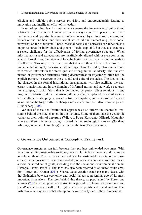efficient and reliable public service provision, and entrepreneurship leading to innovation and intelligent effort of its leaders.

In sociology, the New Institutionalism stresses the importance of cultural and relational embeddedness: Human action is always context dependent, and their preferences and opportunities are strongly influenced by cultural rules, norms, and beliefs on the one hand and their social–structural environment (e.g., their social networks) on the other hand. These informal norms and networks can function as a major resource for individuals and groups ("social capital"), but they also can pose a severe challenge for the effectiveness of formal governance structures. When informal norms and expectations are insufficiently aligned with or even competing against formal rules, the latter will lack the legitimacy that any institution needs to be effective. This may further be exacerbated when these formal rules have to be implemented in highly cohesive social settings, characterized by close-knit cliques with vested interests in the status quo and strong mutual solidarity. The transformation of governance structures during decentralization trajectories often has the explicit purpose to overcome these social and cultural obstacles. The idea is that the changes in the formal institutional arrangements will also facilitate the necessary transformations in the domain of informal norms and network structures. For example, a social fabric that is dominated by patron–client relations, strong in-group solidarity, and particularism will be gradually replaced by a civil society, with multiple overlapping networks, active participation, and weak solidarity, such as norms facilitating fruitful exchanges not only within, but also between groups (Lindenberg [1988\)](#page-41-16).

Variants of these neo-institutional approaches also inform the theoretical reasoning behind the nine chapters in this volume. Some of them take the economic variant as their point of departure (Wijayati, Putra, Kuswanto, Miharti, Muttaqin), whereas others are more strongly rooted in the sociological version (Sondang Silitonga, Wiharani, Hazenberg) or combine the two (Kusumawanti).

#### <span id="page-28-0"></span>**6 Governance Outcomes: A Conceptual Framework**

Governance structures can fail, because they produce unintended outcomes. With regard to building sustainable societies, they can fail in both the ends and the means to achieve them. First, a major precondition for sustainable society is that governance structures move from a one-sided emphasis on economic welfare toward a more balanced set of goals, including also the social and environmental domain ("People, Planet, Profit"). This idea has also been referred to as shared value creation (Porter and Kramer [2011\)](#page-42-12). Shared value creation can have many faces, with the distinction between economic and social values representing two of its most important dimensions. The idea behind this theory, as popularized by Porter and Kramer [\(2011](#page-42-12)), is that governance structures geared to achieve both economic and social/normative goals will yield higher levels of profits and social welfare than institutional arrangements that attempt to maximize only one of these dimensions.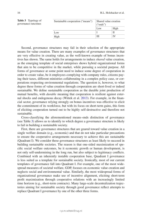<span id="page-29-0"></span>

| <b>Table 3</b> Typology of<br>governance outcomes | Sustainable cooperation ("means") | Shared value creation<br>("ends") |      |
|---------------------------------------------------|-----------------------------------|-----------------------------------|------|
|                                                   |                                   | Low                               | High |
|                                                   | Low                               |                                   |      |
|                                                   | High                              | Ш                                 |      |

Second, governance structures may fail in their selection of the appropriate means for value creation. There are many examples of governance structures that are very effective in creating value, as the well-known example of bonus incentives has shown. The same holds for arrangements to induce *shared* value creation, as the emerging template of social enterprises shows hybrid organizational forms that aim to be competitive in the market, while pursuing a societal purpose. All forms of governance at some point need to induce some degree of cooperation in order to create value, be it employees complying with company rules, citizens paying their taxes, different ministries collaborating in a complex policy case, or corporations respecting environmental regulations. The question is, however, to what degree these forms of value creation through cooperation are short-lived or indeed sustainable. We define sustainable cooperation as the durable joint production of mutual benefits, with *durable* meaning that cooperation is resilient against external shocks and endogenous decay (Wittek et al. [2013\)](#page-42-13). For example, in the financial sector, governance relying strongly on bonus incentives was effective to elicit the commitment of its workforce, but with its focus on short-term gains, this form of eliciting cooperation turned out to be highly self-destructive and therefore not sustainable.

Cross-classifying the aforementioned means–ends distinction of governance (see Table [3](#page-29-0)) allows us to identify to which degree a governance structure is likely to fail in building a sustainable society.

First, there are governance structures that are geared toward value creation in a single welfare domain (e.g., economic) and that do not take particular precautions to ensure the cooperative arrangements necessary to achieve this are sustainable (Quadrant I). We consider these governance structures as least likely to succeed in building sustainable societies. The reason is that one-sided maximization of specific social welfare outcomes, be it economic growth or human development, is not only self-undermining in the long run, but also subject to legitimacy conflicts. Combined with an inherently instable cooperation base, Quadrant I governance is less suited as a template for sustainable society. Ironically, most of our current templates of governance fall into Quadrant I. For example, one of the most widespread measures of societal welfare, GDP, focuses on economic value creation and neglects social and environmental value. Similarly, the most widespread forms of organizational governance make use of incentive alignment, eliciting short-term profit maximization through cooperative relations with an increasingly limited time horizon (e.g., short-term contracts). Many large-scale decentralization trajectories aiming for sustainable society through good governance reflect attempts to replace Quadrant I governance by one of the other three forms.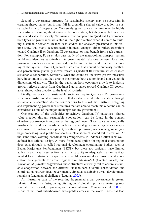Second, a governance structure for sustainable society may be successful in creating shared value, but it may fail in grounding shared value creation in sustainable forms of cooperation. Conversely, governance structures may be highly successful in bringing about sustainable cooperation, but they may fail in creating shared value for society. We assume that compared to Quadrant I governance, both types of governance are a step in the right direction when it comes to building sustainable societies. In fact, case studies and analyses presented in this volume show that many decentralization-induced changes either reflect transitions toward Quadrant II or Quadrant III governance, or may benefit from such a transition. For example, Putra et al.'s case study of the metropolitan transport system in Jakarta identifies sustainable intergovernmental relations between local and provincial levels as a crucial precondition for an effective and efficient functioning of the system. Here, a Quadrant I structure that nourished authority conflicts and parochialism gradually moved toward a Quadrant III structure which enabled sustainable cooperation. Similarly, what the countless inclusive growth measures have in common is that they urge to incorporate both economic and non-economic dimensions of growth. That is, the transition from economic growth to inclusive growth reflects a move from Quadrant I governance toward Quadrant III governance: shared value creation at the level of societies.

Finally, we posit that sustainable societies require Quadrant IV governance structures: institutional arrangements that enable shared value creation through sustainable cooperation. As the contributions to this volume illustrate, designing and implementing governance structures that are able to reach this outcome can be considered as one of the major challenges for any government.

One example of the difficulties to achieve Quadrant IV outcomes—shared value creation through sustainable cooperation—can be found in the context of urban governance innovation at the regional level. Governance here typically involves the need for coordination between local government agencies on specific issues like urban development, healthcare provision, water management, garbage processing, and public transport—a clear issue of shared value creation. At the same time, existing coordination arrangements in Indonesia often lack welldefined institutional design. A more formalized option for regional coordination does exist through so-called regional development coordinating bodies, such as Badan Kerjasama Pembangunan (BKSP), but these too typically have limited authority and usually suffer from a lack of capacity to adequately harmonize fragmented local initiatives. Despite recent well-known interlocal government cooperation arrangements for urban regions like *Jabodetabek* (Greater Jakarta) and *Kartamantul* (Greater Yogyakarta), these structures currently fail to ensure sustainable cooperation between the different stakeholders. Overall, consolidation and coordination between local governments, aimed at sustainable urban development, remains a fundamental challenge (Laquian [2005\)](#page-41-17).

An illustrative case of the resulting fragmented urban governance is greater Jakarta. Jakarta is a fast-growing city region of global importance, featuring substantial urban sprawl, expansion, and deconcentration (Murakami et al. [2003\)](#page-41-18). It is one of the most suburbanized metropolitan areas in the world. Industrial land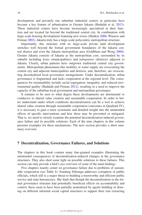development and privately run suburban industrial centers in particular have become a key feature of urbanization in Greater Jakarta (Hudalah et al. [2013\)](#page-41-19). These industrial centers have become increasingly specialized in their function and are located far beyond the traditional central city. In combination with large-scale housing development featuring new towns (Shatkin [2008;](#page-42-14) Winarso and Firman [2002](#page-42-15)), Jakarta truly has a large-scale polycentric metropolitan structure.

Importantly, this structure with its large-scale private land development stretches well beyond the formal government boundaries of the Jakarta central district and even the Jakarta metropolitan area (Goldblum and Wong [2000\)](#page-41-20). Greater Jakarta consists of Jakarta as the metropolitan core, surrounded by its suburbs including *kotas* (municipalities) and *kabupatens* (districts) adjacent to Jakarta. Clearly, urban patterns have outgrown traditional central city governments. Metropolitan phenomena like mobility or water supply are crosscutting the central city and adjacent municipalities and districts, and, therefore, are crosscutting decentralized local governance arrangements. Under decentralization, urban governance is fragmented and lacks cooperation at the regional level. The consequences for sustainability include social segregation, inequality, and reduced environmental quality (Hudalah and Firman [2012](#page-41-21)), resulting in a need to improve the capacity of the suburban local government and metropolitan governance.

It remains to be seen to what degree these developments are detrimental or conducive to shared value creation and sustainable cooperation. In order to better understand under which conditions decentralization can be a tool to achieve shared value creation through sustainable cooperation (outcomes in Quadrant IV), it is necessary to gain a more systematic and detailed insight into the unintended effects of specific interventions and how these may be prevented or mitigated. That is, we need to closely examine the potential decentralization-induced governance failure and its possible solutions. Each of the nine chapters in this volume presents examples for these mechanisms. The next section provides a short summary overview.

#### <span id="page-31-0"></span>**7 Decentralization, Governance Failures, and Solutions**

The chapters in this book contain many fine-grained examples illustrating the unintended consequences of decentralization-induced changes in the governance structures. They also shed some light on possible solutions to these failures. This section can only provide a bird's-eye overview of some of the main findings.

Five chapters mainly center on governance failure due to problems of sustainable cooperation (see Table [4](#page-32-0)). Sondang Silitonga addresses corruption of public officials, which still is a major threat to building a trustworthy and efficient public service and state bureaucracy. She finds that though the decentralization in the formal governance structure had potentially beneficial effects on accountability and control, these seem to have been partially neutralized by agents building or drawing on different informal social capital structures to support their rent extracting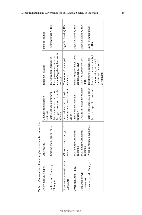|                                          | Table 4 Governance failure examples: sustainable cooperation |                                                                                                          |                                                                                                                               |                                             |
|------------------------------------------|--------------------------------------------------------------|----------------------------------------------------------------------------------------------------------|-------------------------------------------------------------------------------------------------------------------------------|---------------------------------------------|
| Policy domain (chapter)                  | Antecedent                                                   | Outcome (governance<br>failures)                                                                         | Example solutions                                                                                                             | Type of solution                            |
| Public service (Sondang<br>Silitonga)    | Shifting social capital base                                 | through corruption of public<br>thy public service provision<br>Inefficient and untrustwor-<br>officials | ment of regulatory law, social<br>local governance, enforce-<br>Increased transparency in<br>control                          | Organizational (Q III)                      |
| Urban environmental policy<br>(Wiharani) | Climate change on a global<br>scale                          | commitments, need for local<br>International and national<br>action                                      | Transnational municipal<br>networks                                                                                           | Organizational (Q III)                      |
| Urban transport (Putra)                  | Poor intergovernmental<br>relations                          | Inefficient metropolitan<br>transport                                                                    | Interlocal government coop-<br>eration agency, BKSP                                                                           | Organizational (Q III)                      |
| Economic growth<br>(Kuswanto)            | Poor intergovernmental<br>relations                          | Decline in foreign investment   One-stop services offices                                                | (PTSP)                                                                                                                        | Organizational (Q III)                      |
| Economic growth (Wijayati)               | Weak corporate governance                                    | Inefficient resource allocation<br>through corporate corruption                                          | limits to tenure and multiple<br>Disclosure requirements,<br>directorships, increased<br>number and quality of<br>accountants | Legal-organizational<br>$\overline{Q}$ III) |
|                                          |                                                              |                                                                                                          |                                                                                                                               |                                             |

Decentralization and Governance for Sustainable Society in Indonesia 19

#### <span id="page-32-0"></span>r.p.m.wittek@rug.nl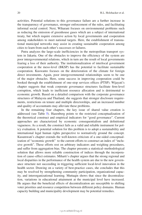activities. Potential solutions to this governance failure are a further increase in the transparency of governance, stronger enforcement of the rules, and facilitating informal social control. Next, Wiharani focuses on environmental problems such as reducing the emission of greenhouse gases which are a subject of international treaty, but which require extensive action by local governments and cooperation among stakeholders to meet national targets. Here, the establishment of transnational municipal networks may assist in creating sustainable cooperation among cities to learn from each other's successes or failures.

Putra analyzes the large-scale inefficiencies in the metropolitan transport system in Jakarta. One of the obstacles to improve the efficiency of the system are poor intergovernmental relations, which in turn are the result of local governments fearing a loss of their authority. The institutionalization of interlocal government cooperation at the meso-level (BKSP) has the potential to facilitate sustainable cooperation. Kuswanto focuses on the deterioration of the climate for foreign direct investments. Again, poor intergovernmental relationships seem to be one of the major obstacles. Here, some success in improving cooperation could be booked through the establishment of one-stop services offices (PTSP). Wijayati's chapter suggests that weak corporate governance structures facilitate firm-level corruption, which leads to inefficient resource allocation and is detrimental to economic growth. Based on a detailed comparison with the corporate governance structures of Malaysia and Thailand, she suggests that stronger disclosure requirements, restrictions on tenure and multiple directorships, and an increased number and quality of accountants may alleviate these problems.

In the remaining four chapters, the key issue of shared value creation is addressed (see Table [5](#page-34-1)). Hazenberg points to the restricted conceptualization of the theoretical construct and empirical indicators for "good governance". Current approaches are characterized by economic consequentialism and definitional vagueness. As a result, the construct fails as a valid and reliable instrument for policy evaluation. A potential solution for this problem is to adopt a sustainability and international legal human rights perspective to normatively ground the concept. Kusumwati's chapter extends the well-known criticism of a one-sided conceptualization of "economic growth" to the current efforts to construct an index of "inclusive growth". These efforts rest on arbitrary indicators and weighing procedures, and suffer from aggregation bias. The chapter presents a statistical–methodological solution that allows more reliable construction of indices through the incorporation of cause–effect estimates. Miharti's chapter argues that the strong regional and local disparities in the performance of the health system are due to the new governance structure not succeeding in triggering sufficient local-level innovation in the health sector. Drawing on a variety of best-practice cases, she concludes that this may be resolved by strengthening community participation, organizational capacity, and interorganizational learning. Muttaqin shows that since the decentralization, variations in educational attainment at the municipal level have increased. He argues that the beneficial effects of decentralization are susceptible to shifting voter priorities and resource competition between different policy domains. Human capacity building and municipality development may be potential remedies.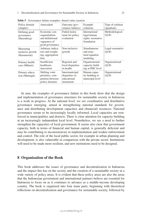| Policy domain<br>(chapter)                   | Antecedent                                                                            | Outcome (gov-<br>ernance failures)                            | Example<br>solutions                                            | Type of solution<br>(quadrant) |
|----------------------------------------------|---------------------------------------------------------------------------------------|---------------------------------------------------------------|-----------------------------------------------------------------|--------------------------------|
| Defining good<br>governance<br>(Hazenberg)   | Economic con-<br>sequentialism<br>and definitional<br>vagueness of<br>good governance | Failed instru-<br>ment for policy<br>evaluation               | International<br>legal human<br>rights, normative<br>foundation | Methodological<br>(O II)       |
| Measuring<br>inclusive growth<br>(Kusumwati) | Arbitrary indica-<br>tors and weight-<br>ing, aggregation<br>bias                     | Non-inclusive<br>growth                                       | Simultaneous<br>and struc-<br>tural equation<br>modeling        | Legal-normative<br>(O II)      |
| Primary health<br>care (Miharti)             | <b>Insufficient</b><br>healthcare<br>innovation                                       | Regional and<br>local disparities<br>in health                | Organizational<br>capacity build-<br>ing at PHC level           | Organizational<br>(O II)       |
| Primary educa-<br>tion (Muttagin)            | Shifting voter<br>priorities, com-<br>petition between<br>policy domains              | Intermunicipal<br>disparities in<br>educational<br>attainment | Human capac-<br>ity building at<br>municipal level              | Organizational<br>(O II)       |

<span id="page-34-1"></span>**Table 5** Governance failure examples: shared value creation

In sum, the examples of governance failure in this book show that the design and implementation of governance structures for sustainable society in Indonesia is a work in progress. At the national level, we see coordinative and distributive governance emerging, aimed at strengthening national standards for governance and distributing development capacities and (financial) resources. National governance seems to be increasingly locally informed. Local capacities are reinforced in municipalities and districts. There is clear attention for capacity building at an increasingly independent local level. Nonetheless, we see a need to further strengthen the capacities of local government. It seems also clear that government capacity, both in terms of financial and human capital, is generally deficient and may be contributing to inconsistencies in implementation and weaker enforcement and control. The role of the local public sector, for example in urban planning and development, is also vulnerable in comparison with the private sector. Institutions will need to be made more resilient, and new institutions need to be designed.

#### <span id="page-34-0"></span>**8 Organization of the Book**

This book addresses the issues of governance and decentralization in Indonesia and the impact this has on the society and the creation of a sustainable society in a wide variety of policy areas. It is evident that these policy areas are also the areas that the Indonesian government and international partners believe are essential for Indonesia to focus on as it continues to advance as a middle-income developing country. The book is organized into four main parts, beginning with theoretical reflections on decentralization and governance for sustainable society, followed by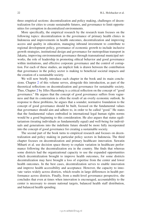three empirical sections: decentralization and policy making, challenges of decentralization for cities to create sustainable futures, and governance to limit opportunities for corruption in decentralized environments.

More specifically, the empirical research by the research team focuses on the following topics: decentralization in the governance of primary health clinics in Indonesia and improvements in health outcomes, decentralization and improving access and quality in education, managing inbound investment to contribute to regional development policy, governance of economic growth to include inclusive growth strategies, institutional design and governance for metropolitan transport in Jakarta, improving environmental governance through transnational municipal networks, the role of leadership in promoting ethical behavior and good governance within institutions, and effective corporate governance and the control of corruption. For each of these studies, an implicit link is drawn between the contribution that governance in the policy sector is making to beneficial societal impacts and the creation of a sustainable society.

We will now briefly introduce each chapter in the book and its main conclusions. Chapter [2](http://dx.doi.org/10.1007/978-3-319-22434-3_2) of this volume serves, alongside this introduction, as part of the theoretical reflections on decentralization and governance for sustainable society. Thus, Chapter [2](http://dx.doi.org/10.1007/978-3-319-22434-3_2) by Jilles Hazenburg is a critical reflection on the concept of "good governance." He argues that the concept of good governance suffers from vagueness and that its contestation is often the result of an overly economic outlook. In response to these problems, he argues that a sounder, normative foundation to the concept of good governance should be built, focused on the fundamental values that governance should aim and adhere to, in order to be called "good." He states that the fundamental values embodied in international legal human rights norms would be a good beginning to this consideration. He also argues that status egalitarianism (treating individuals as fundamentally equal) and well-being for individuals and generations into the indefinite future should be more fully incorporated into the concept of good governance for creating a sustainable society.

The second part of the book turns to empirical research and focuses on decentralization and policy making in particular policy sectors in Indonesia. The third chapter focuses on decentralization and primary healthcare innovation. Suwatin Miharti et al. use decision space theory to explain variation in healthcare performance following the decentralization era in the country. She finds that whereas some districts had the organizational capacity to use the expanded opportunities which decentralization brought to improve health outcomes, for some districts decentralization may have brought a loss of expertise from the center and lower health outcomes. In the best cases, decentralization serves to enable innovation and improve health accessibility and acceptance. However, the capacity to innovate varies widely across districts, which results in large differences in health performance across districts. Finally, from a multi-level governance perspective, she concludes that even at times when innovation is encouraged, accountability to the center is necessary to ensure national targets, balanced health staff distribution, and balanced health spending.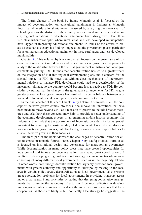The fourth chapter of the book by Tatang Muttaqin et al. is focused on the impact of decentralization on educational attainment in Indonesia. Muttaqin finds that while educational attainment measured by analyzing the mean years of schooling across the districts in the country has increased in the decentralization era, regional variations in educational attainment have also grown. Here, there is a clear urban/rural split, where rural areas and less developed municipalities have lagged in improving educational attainment. In terms of the efforts to create a sustainable society, his findings suggest that the government places particular focus on increasing educational attainment in these rural areas and less developed municipalities.

Chapter [5](http://dx.doi.org/10.1007/978-3-319-22434-3_5) of this volume, by Kuswanto et al., focuses on the governance of foreign direct investment in Indonesia and uses a multi-level governance approach to analyze the relationship between the central government ministries and local governments in guiding FDI. He finds that decentralization has led to a greater focus on the integration of FDI into regional development plans and a concern for the societal impact of FDI. He notes that without clear mechanisms of intergovernmental relations to manage FDI, devolution could lead to a deterioration of the investment climate, so the country would become less attractive to FDI. He concludes by stating that the change in the governance arrangements for FDI to give greater power to local governments has resulted in a better balance between economic development, social development, and economic protection.

In the final chapter of this part, Chapter [6](http://dx.doi.org/10.1007/978-3-319-22434-3_6) by Laksmi Kusumwati et al., the concept of inclusive growth comes into focus. She surveys the innovations that have been made to move beyond GNP as a measure of growth to include broader measures and asks how these concepts may help to provide a better understanding of the economic development process in an emerging middle-income economy like Indonesia. She finds that the government of Indonesia considers inclusive growth important for assuring the sustainability of development. Under decentralization, not only national governments, but also local governments have responsibilities to ensure inclusive growth in their societies.

The third part of the book addresses the challenges of decentralization for cities to create sustainable futures. Here, Chapter [7](http://dx.doi.org/10.1007/978-3-319-22434-3_7) by Taufiq Hidayat Putra et al. is focused on institutional design and governance for metropolitan governance. While decentralization in many policy areas may have created opportunities for local control and innovation, decentralization has created great coordination difficulties in developing a regional transport strategy for major metropolitan areas consisting of many different local governments, such as in the mega city Jakarta. In other words, even though decentralization has arguably provided local governments with greater authority and opportunity to tailor policy making to the local area in certain policy areas, decentralization to local governments also presents great coordination problems for local governments in providing transport across major urban areas. Putra concludes by stating that designing cooperative arrangements that preserve the autonomy of actors will be most effective in developing a regional public mass transit, and not the more coercive measures that force cooperation, as these are likely to fail politically. One strategy he suggests is the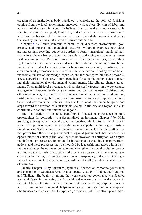creation of an institutional body mandated to consolidate the political decisions coming from the local governments involved, with a clear division of labor and authority of the actors involved. He believes this can lead to a more sustainable society, because an accepted, legitimate, and effective metropolitan governance will have the backing of its citizens, as it eases their daily commute and offers transport by public transport instead of private automobile.

Chapter [8](http://dx.doi.org/10.1007/978-3-319-22434-3_8) by Annisa Paramita Wiharani et al. discusses environmental governance and transnational municipal networks. Wiharani examines how cities are increasingly reaching out across borders to form transnational municipal networks to exchange best practices and consult on addressing environmental issues in their communities. Decentralization has provided cities with a greater authority to cooperate with other cities and institutions abroad, including transnational municipal networks. Decentralization in Indonesia has especially transformed the environmental governance in terms of the implementation of policy, which benefits from a transfer of knowledge, expertise, and technology within these networks. These networks of cities are, in turn, beneficial for assisting nation-states in meeting their international environmental commitments, like climate change agreements. Thus, multi-level governance, which classically focuses on the governance arrangements between levels of government and the involvement of citizens and other stakeholders, is extended here to include municipal networking and building institutions to exchange best practices to improve planning and implementation of their local environmental policies. This results in local environmental gains and steps toward the creation of a sustainable society in the city and region and also contributes to national and international goals.

The final section of the book, part four, is focused on governance to limit opportunities for corruption in a decentralized environment. Chapter [9](http://dx.doi.org/10.1007/978-3-319-22434-3_9) by Mala Sondang Silitonga takes a social capital perspective, which informs the climate in which corruption is viewed as acceptable or unacceptable within a given institutional context. She first notes that previous research indicates that the shift of formal power from the central government to regional governments has increased the opportunities for actors at the local level to be involved in corruption. She argues that informal processes are important for initiating and sustaining corruptive transactions, and these processes may be modified by leadership initiatives within institutions to change the norms of behavior and strengthen the social capital of groups and individuals to resist corruption and assure transparent decision making. She concludes by finding that without government transparency, enforcement of regulatory law, and greater citizen control, it will be difficult to control the occurrence of corruption.

Finally, Chapter [10](http://dx.doi.org/10.1007/978-3-319-22434-3_10) by Nureni Wijayati et al. focuses on corporate governance and corruption in Southeast Asia, in a comparative study of Indonesia, Malaysia, and Thailand. She begins by noting that weak corporate governance was deemed a crucial factor in deepening the financial and economic crisis in the region in the late 1990s. Her study aims to demonstrate how a strong corporate governance institutionalist framework helps to reduce a country's level of corruption. She focuses on three aspects of corporate governance, which control opportunities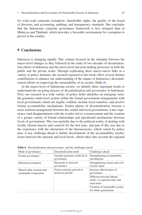for wide-scale corporate corruption: shareholder rights, the quality of the board of directors, and accounting, auditing, and transparency standards. She concludes that the Indonesian corporate governance framework is less stringent than in Malaysia and Thailand, which provides a favorable environment for corruption to persist in the country.

#### <span id="page-38-0"></span>**9 Conclusions**

Indonesia is changing rapidly. This volume focused on the interplay between the macro-level changes as they followed in the wake of two decades of decentralization efforts in Indonesia and the micro-level decision-making processes in both the public and the private realm. Through explicating these macro–micro links in a variety of policy domains, the research reported in this book offers several distinct contributions to enhance our understanding of the impact of Indonesia's decentralization efforts on improving the sustainability of its society (Table [6](#page-38-1)).

At the macro-level of Indonesian society, we identify three important trends to understand the on-going process of decentralization and governance in Indonesia. First, our research in a wide variety of policy fields identifies an emerging variable geometry multi-level system within the formal government arrangements with local governments which are legally codified, include fiscal transfers, and involve formal accountability mechanisms. Earlier phases of decentralization foresaw a more uniform arrangement between the central and local governments. Later experience (and disappointment with the results) led to a reassessment and the creation of a greater variety of formal relationships and operational mechanisms between levels of government. This was partially due to the political reality of dealing with locally elected mayors and councils for the first time, and part of this was due to the experience with the interaction of the bureaucracies, which varied by policy area. A key challenge ahead is further development of the accountability mechanisms between the national and local levels, which takes into account the regional

| Mode of governance                                   | Decentralization trend                      | Challenges ahead                                                         |
|------------------------------------------------------|---------------------------------------------|--------------------------------------------------------------------------|
| Formal governance                                    | Variable geometry multi-level<br>governance | Strengthening accountability<br>mechanisms                               |
| Informal governance                                  | Hierarchy to network<br>governance          | Strengthening citizen and civil<br>society input                         |
| Shared value creation and<br>sustainable cooperation | From economic growth to<br>inclusive growth | Increase effectiveness of<br>governance                                  |
|                                                      |                                             | Diffusion beyond Jakarta<br>metro- to regional cities and<br>rural areas |
|                                                      |                                             | Creation of sustainable society<br>for future generations                |

<span id="page-38-1"></span>**Table 6** Decentralization and governance, and the challenges ahead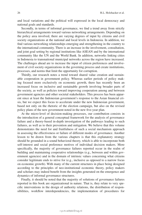and local variations and the political will expressed in the local democracy and national goals and standards.

Secondly, in terms of informal governance, we find a trend away from strictly hierarchical arrangements toward various networking arrangements. Depending on the policy area involved, there are varying degrees of input by citizens and civil society organizations at the national and local levels in Indonesia. In addition, we find various networking relationships emerging and strengthening in the country to the international community. There is an increase in the involvement, consultation, and joint goal setting by regional institutions like ASEAN and by the international community like the UN and the World Bank. In addition, networks linking cities in Indonesia to transnational municipal networks across the region have increased. The challenges ahead are to increase the input of citizen preferences and involvement of civil society organizations in the governing process and create institutions, processes, and norms that limit the opportunity for corruption.

Thirdly, our research notes a trend toward shared value creation and sustainable cooperation in government policy. Whereas earlier periods of policy making focused more exclusively on economic growth, there has recently been an increased focus on inclusive and sustainable growth involving broader parts of the society, as well as policies toward improving cooperation among and between government agencies and other societal stakeholders. This process has been apparent since at least the Indonesian government's response to the Asian financial crisis, but we expect this focus to accelerate under the new Indonesian government, based not only on the rhetoric of the election campaign, but also on the revised policy plans of the new government noted in the new five-year plan.

At the micro-level of decision-making processes, our contribution consists in the introduction of a general conceptual framework for the analysis of governance failure and a theory-based in-depth investigation of the pathways leading to such failures, as well as to their prevention and mitigation. We believe that this volume demonstrates the need for and fruitfulness of such a social mechanism approach in assessing the effectiveness or failure of different modes of governance. Another lesson to be drawn from the various chapters is that this explanatory strategy should be grounded in a sound behavioral theory, which is able to incorporate both self-interest and social preference motives of individual decision makers. More specifically, the majority of governance failures reported occur in the realm of building and maintaining cooperative relationships (e.g., between and within government agencies) and in the domain of intrinsic values concerning what citizens consider legitimate ends to strive for (e.g., inclusive as opposed to a narrow focus on economic growth). With many of the current structures in place being designed according to the principles of neo-institutional economic theory, policy makers and scholars may indeed benefit from the insights generated on the emergence and dynamics of informal governance structures.

Finally, it should be noted that the majority of solutions of governance failures reported in this book are organizational in nature. That is, they relate to very specific interventions in the design of authority relations, the distribution of responsibilities, workflow interdependencies, the implementation of procedures for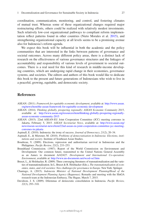coordination, communication, monitoring, and control, and fostering climates of mutual trust. Whereas some of these organizational changes required major restructuring efforts, others could be realized with relatively modest investments.

Such relatively low-cost organizational pathways to compliant reform implementation reflect patterns found in other countries (Nieto Morales et al. [2015](#page-42-16)), and strengthening organizational capacity at all levels seems to be a promising avenue also for Indonesia's reform agenda.

We expect this book will be influential in both the academic and the policy communities that are interested in the links between patterns of governance and societal outcomes. Across many different policy areas, there is a distinct lack of research on the effectiveness of various governance structures and the linkages of accountability and responsibility of various levels of government to societal outcomes. There is a real need for this kind of research in middle-income developing countries, which are undergoing rapid change in their economies, governance systems, and societies. The editors and authors of this book would like to dedicate this book to the present and future generations of Indonesians who wish to live in a peaceful, growing, equitable, and democratic society.

#### **References**

- <span id="page-40-6"></span>ASEAN. (2011). *Framework for equitable economic development*, available at: [http://www.asean.](http://www.asean.org/news/item/the-asean-framework-for-equitable-economic-development) [org/news/item/the-asean-framework-for-equitable-economic-development](http://www.asean.org/news/item/the-asean-framework-for-equitable-economic-development)
- ASEAN. (2014). *Thinking globally, prospering regionally: ASEAN Economic Community 2015*, available at: [http://www.asean.org/resources/item/thinking-globally-prospering-regionally](http://www.asean.org/resources/item/thinking-globally-prospering-regionally-asean-economic-community-2015)[asean-economic-community-2015](http://www.asean.org/resources/item/thinking-globally-prospering-regionally-asean-economic-community-2015)
- <span id="page-40-7"></span>ASEAN. (2015). 22nd ASEAN-EU Joint Cooperation Committee (JCC) meeting convenes in Jakarta, February 5, 2015. *ASEAN Secretariat News*, available at: [http://www.asean.org/](http://www.asean.org/news/asean-secretariat-news/item/22nd-asean-eu-joint-cooperation-committee-jcc-meeting-convenes-in-jakarta) [news/asean-secretariat-news/item/22nd-asean-eu-joint-cooperation-committee-jcc-meeting](http://www.asean.org/news/asean-secretariat-news/item/22nd-asean-eu-joint-cooperation-committee-jcc-meeting-convenes-in-jakarta)[convenes-in-jakarta](http://www.asean.org/news/asean-secretariat-news/item/22nd-asean-eu-joint-cooperation-committee-jcc-meeting-convenes-in-jakarta)
- <span id="page-40-5"></span>Aspinall, E. (2010). Indonesia: the irony of success. *Journal of Democracy*, *21*(2), 20–34.
- <span id="page-40-2"></span>Aspinall, E., & Mietzner, M. (2010). *Problems of democratisation in Indonesia: Elections, institutions and society*. Institute of Southeast Asian Studies.
- <span id="page-40-3"></span>Boudreau, V. (2009). Elections, repression and authoritarian survival in Indonesian and the Philippines. *Pacific Review, 22*(2), 233–253.
- <span id="page-40-0"></span>Brundtland Commission. (1987). Report of the World Commission on Environment and Development: Our common future, transmitted to the United Nations General Assembly as an Annex to document A/42/427. *Development and International Co-operation: Environment*, available at: <http://www.un-documents.net/wced-ocf.htm>
- <span id="page-40-1"></span>Bruszt, L., & Holzhacker, R. (2009). Three converging literatures of transnationalization and the varieties of transnationalization. In L. Bruszt & R. Holzhacker (Eds.), *The transnationalization of economies, states, and civil societies: New challenges for governance in Europe. New York: Springer.*
- <span id="page-40-8"></span>Chaniago, A. (2015). *Indonesia Minister of National Development Planning/Head of the National Development Planning Agency (Bappenas)*. Remarks and meeting with the SInGA research team at the Indonesian Embassy, The Hague, March 7, 2015.
- <span id="page-40-4"></span>Davidson, J. S. (2009). Dilemmas of democratic consolidation in Indonesia. *Pacific Review, 22*(3), 293–310.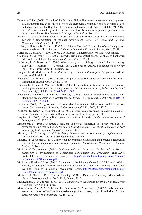- <span id="page-41-13"></span>European Union. (2009). Council of the European Union. Framework agreement on comprehensive partnership and cooperation between the European Community and its Member States, on the one part, and the Republic of Indonesia, on the other part, Brussels, October 21, 2009.
- <span id="page-41-15"></span>Evans, P. (2005). The challenges of the institutional turn: New interdisciplinary opportunities in development theory. *The Economic Sociology of Capitalism*, 90–116.
- <span id="page-41-4"></span>Firman, T. (2009). Decentralization reform and local-government proliferation in Indonesia: Towards a fragmentation of regional development. *Review of Urban and Regional Development Studies, 21*, 143–157.
- <span id="page-41-1"></span>Fitriani, F., Hofman, B., & Kaiser, K. (2005). Unity in Diversity? The creation of new local governments in a decentralising Indonesia. *Bulletin of Indonesian Economic Studies, 41*(1), 57–79.
- <span id="page-41-0"></span>Forrester, G., & May, R. (1999). *The fall of Soeharto*. Bathurst: Crawford House Publishing.
- <span id="page-41-20"></span>Goldblum, C., & Wong, T. C. (2000). Growth, crisis and spatial change: A study of haphazard urbanisation in Jakarta, Indonesia. *Land Use Policy, 17*, 29–37.
- <span id="page-41-9"></span>Hedström, P., & Bearman, P. (2009). What is analytical sociology all about? An introductory essay. In P. Hedstrom & P. Bearman (Eds.), *The Oxford handbook of analytical sociology* (pp. 3–24). Oxford: Oxford University Press.
- <span id="page-41-11"></span>Hooghe, L., & Marks, G. (2001). *Multi-level governance and European integration*. Oxford: Rowman & Littlefield.
- <span id="page-41-21"></span>Hudalah, D., & Firman, T. (2012). Beyond Property: Industrial estates and post-suburban transformation in Jakarta. *Cities*, *29*(1), 40–48
- <span id="page-41-2"></span>Hudalah, D., Firman, T., Woltjer, J. (2014). Cultural cooperation, institution building, and metropolitan governance in decentralizing Indonesia. *International Journal of Urban and Regional Research*, *38*(6). doi:[10.1111/1468-2427.12096](http://dx.doi.org/10.1111/1468-2427.12096)
- <span id="page-41-19"></span>Hudalah, D., Viantari, D., Firman, T., & Woltjer, J. (2013). Industrial land development and manufacturing deconcentration in Greater Jakarta. *Urban Geography, 34*(7), 950–971. doi[:10.108](http://dx.doi.org/10.1080/02723638.2013.783281) [0/02723638.2013.783281.](http://dx.doi.org/10.1080/02723638.2013.783281)
- <span id="page-41-5"></span>Jordan, A. (2008). The governance of sustainable development: Taking stock and looking forwards. *Environment and Planning C: Government and Policy 2008, 26*, 17–33.
- <span id="page-41-10"></span>Kaufman, D., Kraay, A., Mastruzzi, M. (2010). *The worldwide governance indicators, methodology and analytical issues*. World Bank Policy research working paper 5430.
- <span id="page-41-17"></span>Laquian, A. (2005). Metropolitan governance reform in Asia. *Public Administration and Development, 25*, 307–315.
- <span id="page-41-16"></span>Lindenberg, S. (1988). Contractual relations and weak solidarity: The behavioral basis of restraints on gain-maximization. *Journal of Institutional and Theoretical Economics (JITE)/ Zeitschrift für die gesamte Staatswissenschaft*, 39–58.
- <span id="page-41-12"></span>MacIntrye, A., & Ramage, D. (2008). *Seeing Indonesia as a normal country: Implications for Australia*. Canberra: Australian Strategic Policy Institute.
- <span id="page-41-3"></span>Miharja, M., & Woltjer, J. (2010). Inter-local government collaboration and perceived transaction costs in Indonesian metropolitan transport planning. *International Development Planning Review, 32*, 167–189.
- <span id="page-41-7"></span>Ministry of Environment. (2014). *Dialogue with the Chair and Co-chair of the 10-Year Framework of Programmes on Sustainable Consumption and Production*. High-Level Political Forum on Sustainable Society, UN, [http://sustainabledevelopment.un.org/content/](http://sustainabledevelopment.un.org/content/documents/10674kambuaya.pdf) [documents/10674kambuaya.pdf](http://sustainabledevelopment.un.org/content/documents/10674kambuaya.pdf)
- <span id="page-41-8"></span>Ministry of Foreign Affairs. (2014). Statement by the Director General of Multilateral Affairs, Ministry of Foreign Affairs of the Republic of Indonesia at the Ninth Meeting of the Open Working Group of Sustainable Development Goals, [http://sustainabledevelopment.un.org/](http://sustainabledevelopment.un.org/content/documents/7167indonesia.pdf) [content/documents/7167indonesia.pdf](http://sustainabledevelopment.un.org/content/documents/7167indonesia.pdf)
- <span id="page-41-14"></span>Minister of National Development Planning. (2015). Executive Summary Medium-Term National Development Plan 2015–2019, January 2015.
- <span id="page-41-6"></span>Mudacumura, G. M., & Morcol, G. (2014). *Challenges to democratic governance in developing countries.* New York: Springer.
- <span id="page-41-18"></span>Murakami, A., Zain, A. M., Takeuchi, K., Tsunekawa, A., & Yokota, S. (2003). Trends in urbanization and patterns of land use in the Asian mega cities Jakarta, Bangkok, and Metro Manila. *Landscape and Urban Planning, 70*, 251–259.